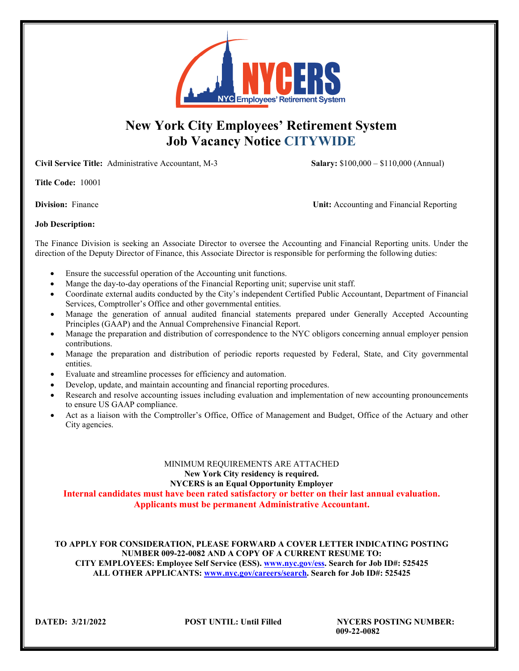

# **New York City Employees' Retirement System Job Vacancy Notice CITYWIDE**

**Civil Service Title:** Administrative Accountant, M-3 **Salary:** \$100,000 – \$110,000 (Annual)

**Title Code:** 10001

**Division:** Finance **Unit:** Accounting and Financial Reporting

## **Job Description:**

The Finance Division is seeking an Associate Director to oversee the Accounting and Financial Reporting units. Under the direction of the Deputy Director of Finance, this Associate Director is responsible for performing the following duties:

- Ensure the successful operation of the Accounting unit functions.
- Mange the day-to-day operations of the Financial Reporting unit; supervise unit staff.
- Coordinate external audits conducted by the City's independent Certified Public Accountant, Department of Financial Services, Comptroller's Office and other governmental entities.
- Manage the generation of annual audited financial statements prepared under Generally Accepted Accounting Principles (GAAP) and the Annual Comprehensive Financial Report.
- Manage the preparation and distribution of correspondence to the NYC obligors concerning annual employer pension contributions.
- Manage the preparation and distribution of periodic reports requested by Federal, State, and City governmental entities.
- Evaluate and streamline processes for efficiency and automation.
- Develop, update, and maintain accounting and financial reporting procedures.
- Research and resolve accounting issues including evaluation and implementation of new accounting pronouncements to ensure US GAAP compliance.
- Act as a liaison with the Comptroller's Office, Office of Management and Budget, Office of the Actuary and other City agencies.

## MINIMUM REQUIREMENTS ARE ATTACHED **New York City residency is required. NYCERS is an Equal Opportunity Employer**

**Internal candidates must have been rated satisfactory or better on their last annual evaluation. Applicants must be permanent Administrative Accountant.**

**TO APPLY FOR CONSIDERATION, PLEASE FORWARD A COVER LETTER INDICATING POSTING NUMBER 009-22-0082 AND A COPY OF A CURRENT RESUME TO: CITY EMPLOYEES: Employee Self Service (ESS). [www.nyc.gov/ess.](http://www.nyc.gov/ess) Search for Job ID#: 525425 ALL OTHER APPLICANTS: [www.nyc.gov/careers/search.](http://www.nyc.gov/careers/search) Search for Job ID#: 525425**

**DATED: 3/21/2022 POST UNTIL: Until Filled NYCERS POSTING NUMBER: 009-22-0082**